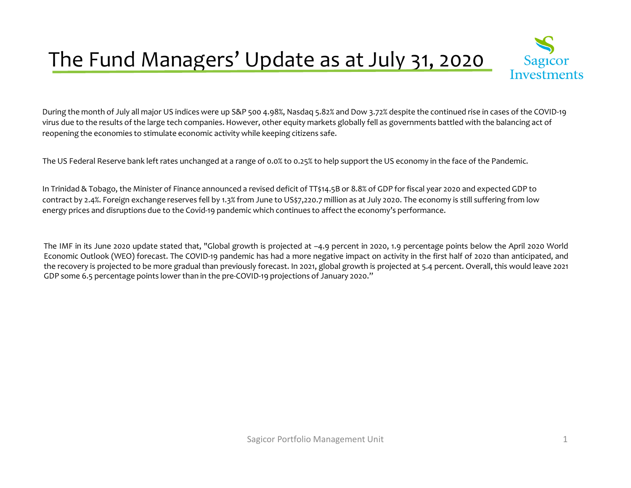## The Fund Managers' Update as at July 31, 2020



During the month of July all major US indices were up S&P 500 4.98%, Nasdaq 5.82% and Dow 3.72% despite the continued rise in cases of the COVID-19 virus due to the results of the large tech companies. However, other equity markets globally fell as governments battled with the balancing act of reopening the economies to stimulate economic activity while keeping citizens safe.

The US Federal Reserve bank left rates unchanged at <sup>a</sup> range of 0.0% to 0.25% to help suppor<sup>t</sup> the US economy in the face of the Pandemic.

In Trinidad & Tobago, the Minister of Finance announced a revised deficit of TT\$14.5B or 8.8% of GDP for fiscal year 2020 and expected GDP to contract by 2.4%. Foreign exchange reserves fell by 1.3% from June to US\$7,220.7 million as at July 2020. The economy is still suffering from low energy prices and disruptions due to the Covid-19 pandemic which continues to affect the economy's performance.

The IMF in its June <sup>2020</sup> update stated that, "Global growth is projected at –4.9 percen<sup>t</sup> in 2020, 1.9 percentage points below the April <sup>2020</sup> World Economic Outlook (WEO) forecast. The COVID-19 pandemic has had <sup>a</sup> more negative impact on activity in the first half of <sup>2020</sup> than anticipated, and the recovery is projected to be more gradual than previously forecast. In 2021, <sup>g</sup>lobal growth is projected at 5.4 percent. Overall, this would leave <sup>2021</sup> GDP some 6.5 percentage points lower than in the pre-COVID-19 projections of January 2020."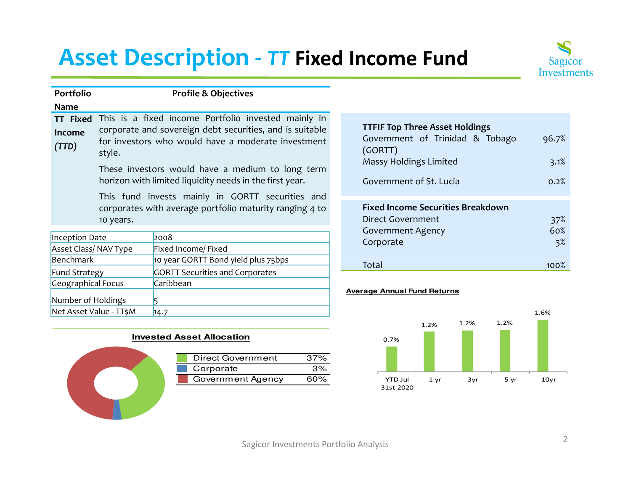## **Asset Description -** *TT* **Fixed Income Fund**



60%

 $3%$ 

| Portfolio                           |                                                                                                                                                                                                                                                                                                                   | <b>Profile &amp; Objectives</b>                                                                             |                                                                                                                                          |                       |
|-------------------------------------|-------------------------------------------------------------------------------------------------------------------------------------------------------------------------------------------------------------------------------------------------------------------------------------------------------------------|-------------------------------------------------------------------------------------------------------------|------------------------------------------------------------------------------------------------------------------------------------------|-----------------------|
| <b>Name</b>                         |                                                                                                                                                                                                                                                                                                                   |                                                                                                             |                                                                                                                                          |                       |
| Income<br>(TTD)                     | This is a fixed income Portfolio invested mainly in<br><b>TT Fixed</b><br>corporate and sovereign debt securities, and is suitable<br>for investors who would have a moderate investment<br>style.<br>These investors would have a medium to long term<br>horizon with limited liquidity needs in the first year. |                                                                                                             | <b>TTFIF Top Three Asset Holdings</b><br>Government of Trinidad & Tobago<br>(GORTT)<br>Massy Holdings Limited<br>Government of St. Lucia | 96.7%<br>3.1%<br>0.2% |
|                                     | 10 years.                                                                                                                                                                                                                                                                                                         | This fund invests mainly in GORTT securities and<br>corporates with average portfolio maturity ranging 4 to | <b>Fixed Income Securities Breakdown</b><br>Direct Government                                                                            | 37%                   |
| Inception Date                      | Asset Class/NAV Type                                                                                                                                                                                                                                                                                              | 2008<br>Fixed Income/ Fixed                                                                                 | <b>Government Agency</b><br>Corporate                                                                                                    | 60%<br>3 <sup>2</sup> |
| <b>Benchmark</b>                    |                                                                                                                                                                                                                                                                                                                   | 10 year GORTT Bond yield plus 75bps                                                                         | Total                                                                                                                                    | 100%                  |
| Fund Strategy<br>Geographical Focus |                                                                                                                                                                                                                                                                                                                   | <b>GORTT Securities and Corporates</b><br>Caribbean                                                         | Associated Associated Francis Reduction                                                                                                  |                       |

## **Average Annual Fund Returns**



|  | <b>Invested Asset Allocation</b> |
|--|----------------------------------|
|  |                                  |

 $14.7$ 

Number of Holdings 5

Net Asset Value - TT\$M

| <b>Direct Government</b> | 37% |
|--------------------------|-----|
| Corporate                | 3%  |
| Government Agency        | 60% |
|                          |     |